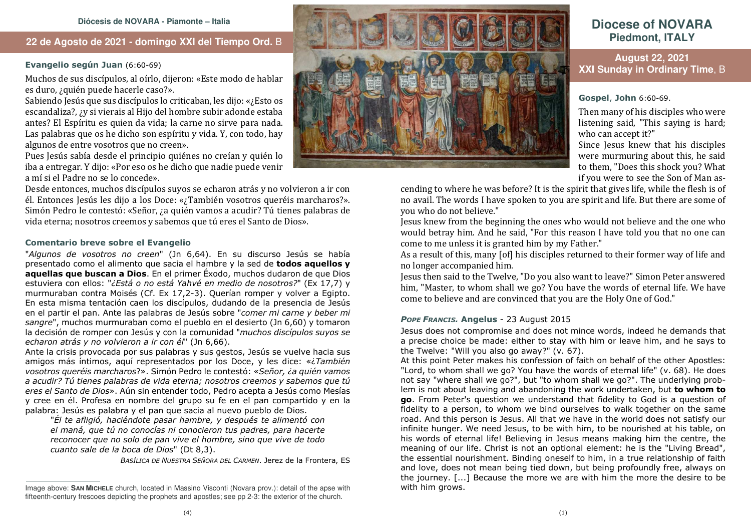## **22 de Agosto de 2021 - domingo XXI del Tiempo Ord.** B

### **Evangelio según Juan** (6:60-69)

Muchos de sus discípulos, al oírlo, dijeron: «Este modo de hablar es duro, ¿quién puede hacerle caso?».

Sabiendo Jesús que sus discípulos lo criticaban, les dijo: «¿Esto os escandaliza?, ¿y si vierais al Hijo del hombre subir adonde estaba antes? El Espíritu es quien da vida; la carne no sirve para nada. Las palabras que os he dicho son espíritu y vida. Y, con todo, hay algunos de entre vosotros que no creen».

 Pues Jesús sabía desde el principio quiénes no creían y quién lo iba a entregar. Y dijo: «Por eso os he dicho que nadie puede venir a mí si el Padre no se lo concede».

Desde entonces, muchos discípulos suyos se echaron atrás y no volvieron a ir con él. Entonces Jesús les dijo a los Doce: «¿También vosotros queréis marcharos?». Simón Pedro le contestó: «Señor, ¿a quién vamos a acudir? Tú tienes palabras de vida eterna; nosotros creemos y sabemos que tú eres el Santo de Dios».

#### **Comentario breve sobre el Evangelio**

"*Algunos de vosotros no creen*" (Jn 6,64). En su discurso Jesús se había presentado como el alimento que sacia el hambre y la sed de **todos aquellos y aquellas que buscan a Dios**. En el primer Éxodo, muchos dudaron de que Dios estuviera con ellos: "*¿Está o no está Yahvé en medio de nosotros?*" (Ex 17,7) y murmuraban contra Moisés (Cf. Ex 17,2-3). Querían romper y volver a Egipto. En esta misma tentación caen los discípulos, dudando de la presencia de Jesús en el partir el pan. Ante las palabras de Jesús sobre "*comer mi carne y beber mi sangre*", muchos murmuraban como el pueblo en el desierto (Jn 6,60) y tomaron la decisión de romper con Jesús y con la comunidad "*muchos discípulos suyos se echaron atrás y no volvieron a ir con él*" (Jn 6,66).

 Ante la crisis provocada por sus palabras y sus gestos, Jesús se vuelve hacia sus amigos más íntimos, aquí representados por los Doce, y les dice: «¿*También vosotros queréis marcharos*?». Simón Pedro le contestó: «*Señor, ¿a quién vamos a acudir? Tú tienes palabras de vida eterna; nosotros creemos y sabemos que tú eres el Santo de Dios*». Aún sin entender todo, Pedro acepta a Jesús como Mesías y cree en él. Profesa en nombre del grupo su fe en el pan compartido y en la palabra: Jesús es palabra y el pan que sacia al nuevo pueblo de Dios.

 "*Él te afligió, haciéndote pasar hambre, y después te alimentó con el maná, que tú no conocías ni conocieron tus padres, para hacerte reconocer que no solo de pan vive el hombre, sino que vive de todo cuanto sale de la boca de Dios*" (Dt 8,3).

*BASÍLICA DE NUESTRA SEÑORA DEL CARMEN*. Jerez de la Frontera, ES



# **Diocese of NOVARAPiedmont, ITALY**

## **August 22, 2021 XXI Sunday in Ordinary Time**, B

**Gospel**, **John** 6:60-69.

Then many of his disciples who were listening said, "This saying is hard; who can accept it?"

 Since Jesus knew that his disciples were murmuring about this, he said to them, "Does this shock you? What if you were to see the Son of Man as-

cending to where he was before? It is the spirit that gives life, while the flesh is of no avail. The words I have spoken to you are spirit and life. But there are some of you who do not believe."

 Jesus knew from the beginning the ones who would not believe and the one who would betray him. And he said, "For this reason I have told you that no one can come to me unless it is granted him by my Father."

 As a result of this, many [of] his disciples returned to their former way of life and no longer accompanied him.

 Jesus then said to the Twelve, "Do you also want to leave?" Simon Peter answered him, "Master, to whom shall we go? You have the words of eternal life. We have come to believe and are convinced that you are the Holy One of God."

#### *POPE FRANCIS.* **Angelus** - 23 August 2015

 Jesus does not compromise and does not mince words, indeed he demands that a precise choice be made: either to stay with him or leave him, and he says to the Twelve: "Will you also go away?" (v. 67).

 At this point Peter makes his confession of faith on behalf of the other Apostles: "Lord, to whom shall we go? You have the words of eternal life" (v. 68). He does not say "where shall we go?", but "to whom shall we go?". The underlying problem is not about leaving and abandoning the work undertaken, but **to whom to go**. From Peter's question we understand that fidelity to God is a question of fidelity to a person, to whom we bind ourselves to walk together on the same road. And this person is Jesus. All that we have in the world does not satisfy our infinite hunger. We need Jesus, to be with him, to be nourished at his table, on his words of eternal life! Believing in Jesus means making him the centre, the meaning of our life. Christ is not an optional element: he is the "Living Bread", the essential nourishment. Binding oneself to him, in a true relationship of faith and love, does not mean being tied down, but being profoundly free, always on the journey. [...] Because the more we are with him the more the desire to be with him grows.

Image above: **SAN MICHELE** church, located in Massino Visconti (Novara prov.): detail of the apse with fifteenth-century frescoes depicting the prophets and apostles; see pp 2-3: the exterior of the church.